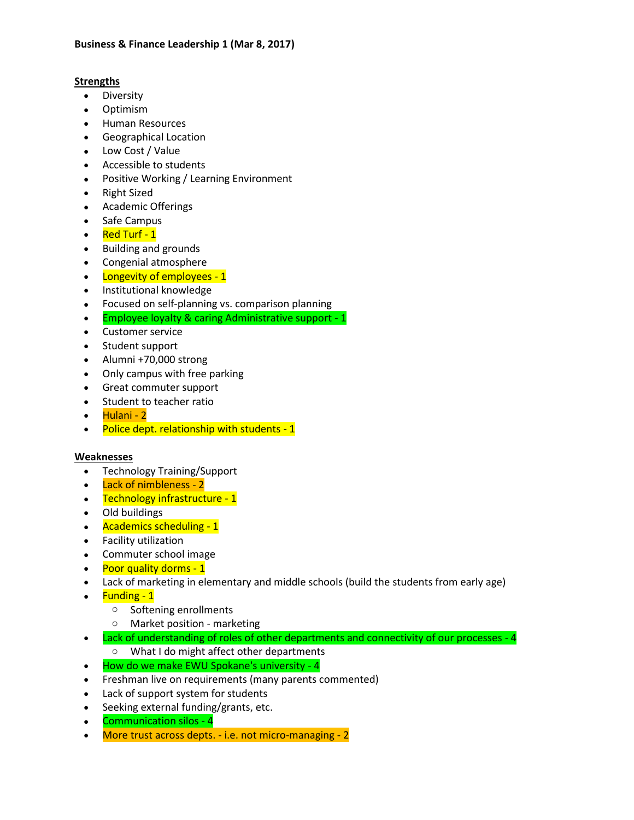## **Strengths**

- Diversity
- Optimism
- **•** Human Resources
- Geographical Location
- Low Cost / Value
- Accessible to students
- Positive Working / Learning Environment
- Right Sized
- Academic Offerings
- Safe Campus
- Red Turf 1
- Building and grounds
- Congenial atmosphere
- Longevity of employees 1
- Institutional knowledge
- Focused on self-planning vs. comparison planning
- **Employee loyalty & caring Administrative support 1**
- Customer service
- Student support
- Alumni +70,000 strong
- Only campus with free parking
- Great commuter support
- Student to teacher ratio
- Hulani 2
- Police dept. relationship with students 1

# **Weaknesses**

- Technology Training/Support
- Lack of nimbleness 2
- Technology infrastructure 1
- Old buildings
- Academics scheduling 1
- Facility utilization
- Commuter school image
- Poor quality dorms 1
- Lack of marketing in elementary and middle schools (build the students from early age)
- Funding 1
	- o Softening enrollments
	- o Market position marketing
- Lack of understanding of roles of other departments and connectivity of our processes 4
	- o What I do might affect other departments
- How do we make EWU Spokane's university 4
- Freshman live on requirements (many parents commented)
- Lack of support system for students
- Seeking external funding/grants, etc.
- Communication silos 4
- More trust across depts. i.e. not micro-managing 2